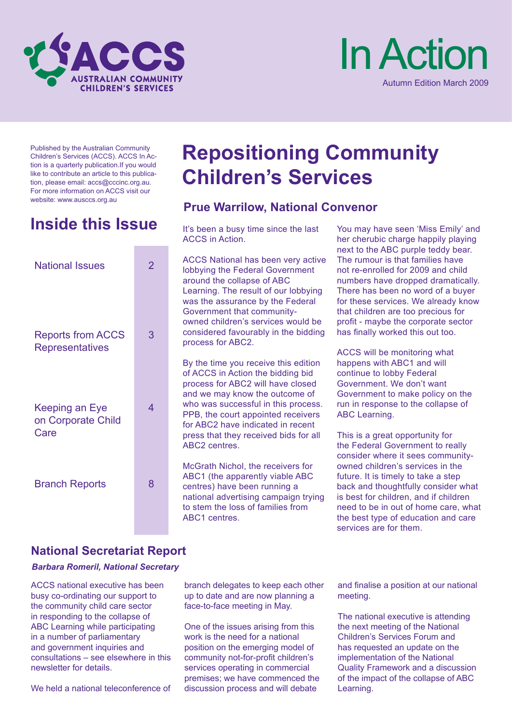



Published by the Australian Community Children's Services (ACCS). ACCS In Action is a quarterly publication.If you would like to contribute an article to this publication, please email: accs@cccinc.org.au. For more information on ACCS visit our website: www.ausccs.org.au

# **Inside this Issue** It's been a busy time since the last

| <b>National Issues</b>                              | $\overline{2}$ | А<br>lc<br>a<br>L<br>W                     |
|-----------------------------------------------------|----------------|--------------------------------------------|
| <b>Reports from ACCS</b><br><b>Representatives</b>  | 3              | G<br>o<br>C<br>р                           |
| <b>Keeping an Eye</b><br>on Corporate Child<br>Care | 4              | В<br>o<br>р<br>a<br>W<br>Ρ<br>fc<br>р<br>А |
| <b>Branch Reports</b>                               | 8              | N<br>А<br>C<br>n<br>tc                     |

# **Repositioning Community Children's Services**

# **Prue Warrilow, National Convenor**

ACCS in Action.

CCS National has been very active lobbying the Federal Government around the collapse of ABC Learning. The result of our lobbying vas the assurance by the Federal Government that communitywned children's services would be considered favourably in the bidding process for ABC2.

By the time you receive this edition of ACCS in Action the bidding bid process for ABC2 will have closed and we may know the outcome of who was successful in this process. PPB, the court appointed receivers or ABC2 have indicated in recent ress that they received bids for all ABC2 centres.

McGrath Nichol, the receivers for ABC1 (the apparently viable ABC entres) have been running a ational advertising campaign trying o stem the loss of families from ABC1 centres.

You may have seen 'Miss Emily' and her cherubic charge happily playing next to the ABC purple teddy bear. The rumour is that families have not re-enrolled for 2009 and child numbers have dropped dramatically. There has been no word of a buyer for these services. We already know that children are too precious for profit - maybe the corporate sector has finally worked this out too.

ACCS will be monitoring what happens with ABC1 and will continue to lobby Federal Government. We don't want Government to make policy on the run in response to the collapse of ABC Learning.

This is a great opportunity for the Federal Government to really consider where it sees communityowned children's services in the future. It is timely to take a step back and thoughtfully consider what is best for children, and if children need to be in out of home care, what the best type of education and care services are for them.

## **National Secretariat Report**

#### *Barbara Romeril, National Secretary*

ACCS national executive has been busy co-ordinating our support to the community child care sector in responding to the collapse of ABC Learning while participating in a number of parliamentary and government inquiries and consultations – see elsewhere in this newsletter for details.

We held a national teleconference of

branch delegates to keep each other up to date and are now planning a face-to-face meeting in May.

One of the issues arising from this work is the need for a national position on the emerging model of community not-for-profit children's services operating in commercial premises; we have commenced the discussion process and will debate

and finalise a position at our national meeting.

The national executive is attending the next meeting of the National Children's Services Forum and has requested an update on the implementation of the National Quality Framework and a discussion of the impact of the collapse of ABC Learning.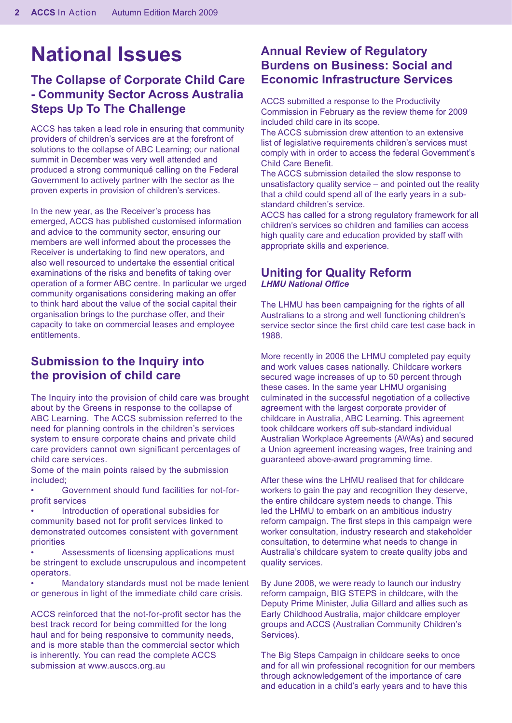# **National Issues**

# **The Collapse of Corporate Child Care - Community Sector Across Australia Steps Up To The Challenge**

ACCS has taken a lead role in ensuring that community providers of children's services are at the forefront of solutions to the collapse of ABC Learning; our national summit in December was very well attended and produced a strong communiqué calling on the Federal Government to actively partner with the sector as the proven experts in provision of children's services.

In the new year, as the Receiver's process has emerged, ACCS has published customised information and advice to the community sector, ensuring our members are well informed about the processes the Receiver is undertaking to find new operators, and also well resourced to undertake the essential critical examinations of the risks and benefits of taking over operation of a former ABC centre. In particular we urged community organisations considering making an offer to think hard about the value of the social capital their organisation brings to the purchase offer, and their capacity to take on commercial leases and employee entitlements.

## **Submission to the Inquiry into the provision of child care**

The Inquiry into the provision of child care was brought about by the Greens in response to the collapse of ABC Learning. The ACCS submission referred to the need for planning controls in the children's services system to ensure corporate chains and private child care providers cannot own significant percentages of child care services.

Some of the main points raised by the submission included;

• Government should fund facilities for not-forprofit services

• Introduction of operational subsidies for community based not for profit services linked to demonstrated outcomes consistent with government priorities

Assessments of licensing applications must be stringent to exclude unscrupulous and incompetent operators.

• Mandatory standards must not be made lenient or generous in light of the immediate child care crisis.

ACCS reinforced that the not-for-profit sector has the best track record for being committed for the long haul and for being responsive to community needs, and is more stable than the commercial sector which is inherently. You can read the complete ACCS submission at www.ausccs.org.au

### **Annual Review of Regulatory Burdens on Business: Social and Economic Infrastructure Services**

ACCS submitted a response to the Productivity Commission in February as the review theme for 2009 included child care in its scope.

The ACCS submission drew attention to an extensive list of legislative requirements children's services must comply with in order to access the federal Government's Child Care Benefit.

The ACCS submission detailed the slow response to unsatisfactory quality service – and pointed out the reality that a child could spend all of the early years in a substandard children's service.

ACCS has called for a strong regulatory framework for all children's services so children and families can access high quality care and education provided by staff with appropriate skills and experience.

#### **Uniting for Quality Reform**  *LHMU National Office*

The LHMU has been campaigning for the rights of all Australians to a strong and well functioning children's service sector since the first child care test case back in 1988.

More recently in 2006 the LHMU completed pay equity and work values cases nationally. Childcare workers secured wage increases of up to 50 percent through these cases. In the same year LHMU organising culminated in the successful negotiation of a collective agreement with the largest corporate provider of childcare in Australia, ABC Learning. This agreement took childcare workers off sub-standard individual Australian Workplace Agreements (AWAs) and secured a Union agreement increasing wages, free training and guaranteed above-award programming time.

After these wins the LHMU realised that for childcare workers to gain the pay and recognition they deserve, the entire childcare system needs to change. This led the LHMU to embark on an ambitious industry reform campaign. The first steps in this campaign were worker consultation, industry research and stakeholder consultation, to determine what needs to change in Australia's childcare system to create quality jobs and quality services.

By June 2008, we were ready to launch our industry reform campaign, BIG STEPS in childcare, with the Deputy Prime Minister, Julia Gillard and allies such as Early Childhood Australia, major childcare employer groups and ACCS (Australian Community Children's Services).

The Big Steps Campaign in childcare seeks to once and for all win professional recognition for our members through acknowledgement of the importance of care and education in a child's early years and to have this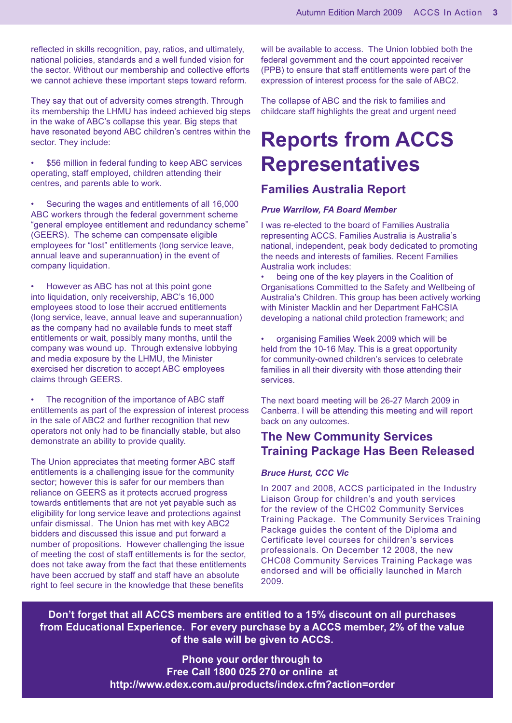reflected in skills recognition, pay, ratios, and ultimately, national policies, standards and a well funded vision for the sector. Without our membership and collective efforts we cannot achieve these important steps toward reform.

They say that out of adversity comes strength. Through its membership the LHMU has indeed achieved big steps in the wake of ABC's collapse this year. Big steps that have resonated beyond ABC children's centres within the sector. They include:

\$56 million in federal funding to keep ABC services operating, staff employed, children attending their centres, and parents able to work. •

Securing the wages and entitlements of all 16,000 ABC workers through the federal government scheme "general employee entitlement and redundancy scheme" (GEERS). The scheme can compensate eligible employees for "lost" entitlements (long service leave, annual leave and superannuation) in the event of company liquidation. •

However as ABC has not at this point gone into liquidation, only receivership, ABC's 16,000 employees stood to lose their accrued entitlements (long service, leave, annual leave and superannuation) as the company had no available funds to meet staff entitlements or wait, possibly many months, until the company was wound up. Through extensive lobbying and media exposure by the LHMU, the Minister exercised her discretion to accept ABC employees claims through GEERS. •

The recognition of the importance of ABC staff entitlements as part of the expression of interest process in the sale of ABC2 and further recognition that new operators not only had to be financially stable, but also demonstrate an ability to provide quality. •

The Union appreciates that meeting former ABC staff entitlements is a challenging issue for the community sector; however this is safer for our members than reliance on GEERS as it protects accrued progress towards entitlements that are not yet payable such as eligibility for long service leave and protections against unfair dismissal. The Union has met with key ABC2 bidders and discussed this issue and put forward a number of propositions. However challenging the issue of meeting the cost of staff entitlements is for the sector, does not take away from the fact that these entitlements have been accrued by staff and staff have an absolute right to feel secure in the knowledge that these benefits

will be available to access. The Union lobbied both the federal government and the court appointed receiver (PPB) to ensure that staff entitlements were part of the expression of interest process for the sale of ABC2.

The collapse of ABC and the risk to families and childcare staff highlights the great and urgent need

# **Reports from ACCS Representatives**

### **Families Australia Report**

#### *Prue Warrilow, FA Board Member*

I was re-elected to the board of Families Australia representing ACCS. Families Australia is Australia's national, independent, peak body dedicated to promoting the needs and interests of families. Recent Families Australia work includes:

being one of the key players in the Coalition of Organisations Committed to the Safety and Wellbeing of Australia's Children. This group has been actively working with Minister Macklin and her Department FaHCSIA developing a national child protection framework; and •

organising Families Week 2009 which will be held from the 10-16 May. This is a great opportunity for community-owned children's services to celebrate families in all their diversity with those attending their services. •

The next board meeting will be 26-27 March 2009 in Canberra. I will be attending this meeting and will report back on any outcomes.

## **The New Community Services Training Package Has Been Released**

#### *Bruce Hurst, CCC Vic*

In 2007 and 2008, ACCS participated in the Industry Liaison Group for children's and youth services for the review of the CHC02 Community Services Training Package. The Community Services Training Package guides the content of the Diploma and Certificate level courses for children's services professionals. On December 12 2008, the new CHC08 Community Services Training Package was endorsed and will be officially launched in March 2009.

**Don't forget that all ACCS members are entitled to a 15% discount on all purchases from Educational Experience. For every purchase by a ACCS member, 2% of the value of the sale will be given to ACCS.**

> **Phone your order through to Free Call 1800 025 270 or online at http://www.edex.com.au/products/index.cfm?action=order**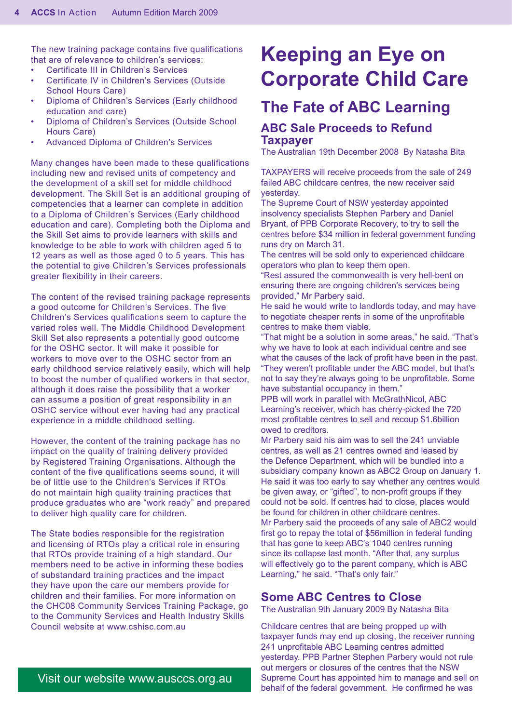The new training package contains five qualifications that are of relevance to children's services:

- Certificate III in Children's Services •
- Certificate IV in Children's Services (Outside School Hours Care) •
- Diploma of Children's Services (Early childhood education and care) •
- Diploma of Children's Services (Outside School Hours Care) •
- Advanced Diploma of Children's Services •

Many changes have been made to these qualifications including new and revised units of competency and the development of a skill set for middle childhood development. The Skill Set is an additional grouping of competencies that a learner can complete in addition to a Diploma of Children's Services (Early childhood education and care). Completing both the Diploma and the Skill Set aims to provide learners with skills and knowledge to be able to work with children aged 5 to 12 years as well as those aged 0 to 5 years. This has the potential to give Children's Services professionals greater flexibility in their careers.

The content of the revised training package represents a good outcome for Children's Services. The five Children's Services qualifications seem to capture the varied roles well. The Middle Childhood Development Skill Set also represents a potentially good outcome for the OSHC sector. It will make it possible for workers to move over to the OSHC sector from an early childhood service relatively easily, which will help to boost the number of qualified workers in that sector, although it does raise the possibility that a worker can assume a position of great responsibility in an OSHC service without ever having had any practical experience in a middle childhood setting.

However, the content of the training package has no impact on the quality of training delivery provided by Registered Training Organisations. Although the content of the five qualifications seems sound, it will be of little use to the Children's Services if RTOs do not maintain high quality training practices that produce graduates who are "work ready" and prepared to deliver high quality care for children.

The State bodies responsible for the registration and licensing of RTOs play a critical role in ensuring that RTOs provide training of a high standard. Our members need to be active in informing these bodies of substandard training practices and the impact they have upon the care our members provide for children and their families. For more information on the CHC08 Community Services Training Package, go to the Community Services and Health Industry Skills Council website at www.cshisc.com.au

# **Keeping an Eye on Corporate Child Care**

# **The Fate of ABC Learning**

#### **ABC Sale Proceeds to Refund Taxpayer**

The Australian 19th December 2008 By Natasha Bita

TAXPAYERS will receive proceeds from the sale of 249 failed ABC childcare centres, the new receiver said yesterday.

The Supreme Court of NSW yesterday appointed insolvency specialists Stephen Parbery and Daniel Bryant, of PPB Corporate Recovery, to try to sell the centres before \$34 million in federal government funding runs dry on March 31.

The centres will be sold only to experienced childcare operators who plan to keep them open.

"Rest assured the commonwealth is very hell-bent on ensuring there are ongoing children's services being provided," Mr Parbery said.

He said he would write to landlords today, and may have to negotiate cheaper rents in some of the unprofitable centres to make them viable.

"That might be a solution in some areas," he said. "That's why we have to look at each individual centre and see what the causes of the lack of profit have been in the past. "They weren't profitable under the ABC model, but that's not to say they're always going to be unprofitable. Some have substantial occupancy in them."

PPB will work in parallel with McGrathNicol, ABC Learning's receiver, which has cherry-picked the 720 most profitable centres to sell and recoup \$1.6billion owed to creditors.

Mr Parbery said his aim was to sell the 241 unviable centres, as well as 21 centres owned and leased by the Defence Department, which will be bundled into a subsidiary company known as ABC2 Group on January 1. He said it was too early to say whether any centres would be given away, or "gifted", to non-profit groups if they could not be sold. If centres had to close, places would be found for children in other childcare centres. Mr Parbery said the proceeds of any sale of ABC2 would first go to repay the total of \$56million in federal funding that has gone to keep ABC's 1040 centres running since its collapse last month. "After that, any surplus will effectively go to the parent company, which is ABC Learning," he said. "That's only fair."

#### **Some ABC Centres to Close**

The Australian 9th January 2009 By Natasha Bita

Childcare centres that are being propped up with taxpayer funds may end up closing, the receiver running 241 unprofitable ABC Learning centres admitted yesterday. PPB Partner Stephen Parbery would not rule out mergers or closures of the centres that the NSW Supreme Court has appointed him to manage and sell on behalf of the federal government. He confirmed he was

Visit our website www.ausccs.org.au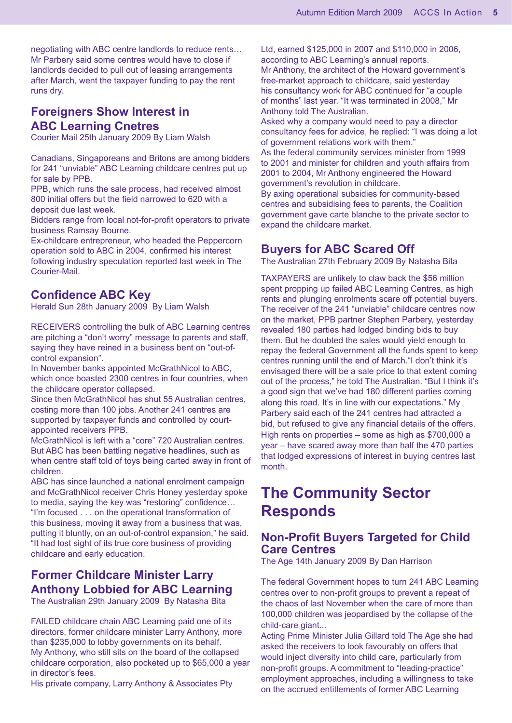negotiating with ABC centre landlords to reduce rents… Mr Parbery said some centres would have to close if landlords decided to pull out of leasing arrangements after March, went the taxpayer funding to pay the rent runs dry.

## **Foreigners Show Interest in ABC Learning Cnetres**

Courier Mail 25th January 2009 By Liam Walsh

Canadians, Singaporeans and Britons are among bidders for 241 "unviable" ABC Learning childcare centres put up for sale by PPB.

PPB, which runs the sale process, had received almost 800 initial offers but the field narrowed to 620 with a deposit due last week.

Bidders range from local not-for-profit operators to private business Ramsay Bourne.

Ex-childcare entrepreneur, who headed the Peppercorn operation sold to ABC in 2004, confirmed his interest following industry speculation reported last week in The Courier-Mail.

### **Confidence ABC Key**

Herald Sun 28th January 2009 By Liam Walsh

RECEIVERS controlling the bulk of ABC Learning centres are pitching a "don't worry" message to parents and staff, saying they have reined in a business bent on "out-ofcontrol expansion".

In November banks appointed McGrathNicol to ABC, which once boasted 2300 centres in four countries, when the childcare operator collapsed.

Since then McGrathNicol has shut 55 Australian centres, costing more than 100 jobs. Another 241 centres are supported by taxpayer funds and controlled by courtappointed receivers PPB.

McGrathNicol is left with a "core" 720 Australian centres. But ABC has been battling negative headlines, such as when centre staff told of toys being carted away in front of children.

ABC has since launched a national enrolment campaign and McGrathNicol receiver Chris Honey yesterday spoke to media, saying the key was "restoring" confidence… "I'm focused . . . on the operational transformation of this business, moving it away from a business that was, putting it bluntly, on an out-of-control expansion," he said. "It had lost sight of its true core business of providing childcare and early education.

# **Former Childcare Minister Larry Anthony Lobbied for ABC Learning**

The Australian 29th January 2009 By Natasha Bita

FAILED childcare chain ABC Learning paid one of its directors, former childcare minister Larry Anthony, more than \$235,000 to lobby governments on its behalf. My Anthony, who still sits on the board of the collapsed childcare corporation, also pocketed up to \$65,000 a year in director's fees.

His private company, Larry Anthony & Associates Pty

Ltd, earned \$125,000 in 2007 and \$110,000 in 2006, according to ABC Learning's annual reports. Mr Anthony, the architect of the Howard government's free-market approach to childcare, said yesterday his consultancy work for ABC continued for "a couple of months" last year. "It was terminated in 2008," Mr Anthony told The Australian.

Asked why a company would need to pay a director consultancy fees for advice, he replied: "I was doing a lot of government relations work with them."

As the federal community services minister from 1999 to 2001 and minister for children and youth affairs from 2001 to 2004, Mr Anthony engineered the Howard government's revolution in childcare.

By axing operational subsidies for community-based centres and subsidising fees to parents, the Coalition government gave carte blanche to the private sector to expand the childcare market.

#### **Buyers for ABC Scared Off**

The Australian 27th February 2009 By Natasha Bita

TAXPAYERS are unlikely to claw back the \$56 million spent propping up failed ABC Learning Centres, as high rents and plunging enrolments scare off potential buyers. The receiver of the 241 "unviable" childcare centres now on the market, PPB partner Stephen Parbery, yesterday revealed 180 parties had lodged binding bids to buy them. But he doubted the sales would yield enough to repay the federal Government all the funds spent to keep centres running until the end of March."I don't think it's envisaged there will be a sale price to that extent coming out of the process," he told The Australian. "But I think it's a good sign that we've had 180 different parties coming along this road. It's in line with our expectations." My Parbery said each of the 241 centres had attracted a bid, but refused to give any financial details of the offers. High rents on properties – some as high as \$700,000 a year – have scared away more than half the 470 parties that lodged expressions of interest in buying centres last month.

# **The Community Sector Responds**

#### **Non-Profit Buyers Targeted for Child Care Centres**

The Age 14th January 2009 By Dan Harrison

The federal Government hopes to turn 241 ABC Learning centres over to non-profit groups to prevent a repeat of the chaos of last November when the care of more than 100,000 children was jeopardised by the collapse of the child-care giant...

Acting Prime Minister Julia Gillard told The Age she had asked the receivers to look favourably on offers that would inject diversity into child care, particularly from non-profit groups. A commitment to "leading-practice" employment approaches, including a willingness to take on the accrued entitlements of former ABC Learning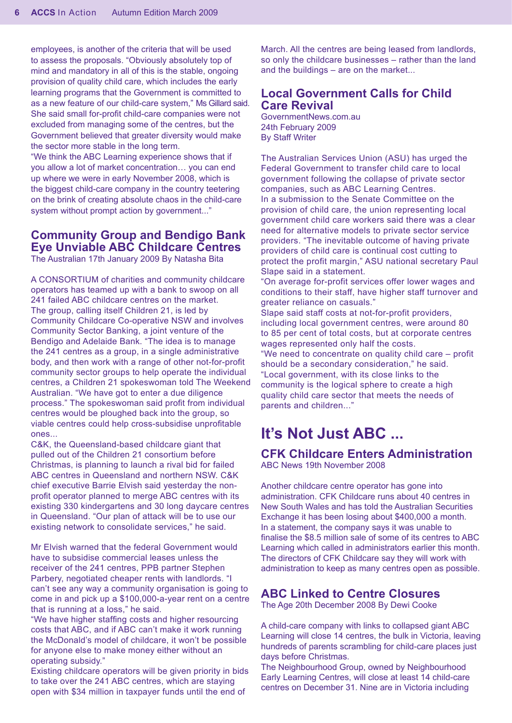employees, is another of the criteria that will be used to assess the proposals. "Obviously absolutely top of mind and mandatory in all of this is the stable, ongoing provision of quality child care, which includes the early learning programs that the Government is committed to as a new feature of our child-care system," Ms Gillard said. She said small for-profit child-care companies were not excluded from managing some of the centres, but the Government believed that greater diversity would make the sector more stable in the long term.

"We think the ABC Learning experience shows that if you allow a lot of market concentration… you can end up where we were in early November 2008, which is the biggest child-care company in the country teetering on the brink of creating absolute chaos in the child-care system without prompt action by government..."

#### **Community Group and Bendigo Bank Eye Unviable ABC Childcare Centres**

The Australian 17th January 2009 By Natasha Bita

A CONSORTIUM of charities and community childcare operators has teamed up with a bank to swoop on all 241 failed ABC childcare centres on the market. The group, calling itself Children 21, is led by Community Childcare Co-operative NSW and involves Community Sector Banking, a joint venture of the Bendigo and Adelaide Bank. "The idea is to manage the 241 centres as a group, in a single administrative body, and then work with a range of other not-for-profit community sector groups to help operate the individual centres, a Children 21 spokeswoman told The Weekend Australian. "We have got to enter a due diligence process." The spokeswoman said profit from individual centres would be ploughed back into the group, so viable centres could help cross-subsidise unprofitable ones...

C&K, the Queensland-based childcare giant that pulled out of the Children 21 consortium before Christmas, is planning to launch a rival bid for failed ABC centres in Queensland and northern NSW. C&K chief executive Barrie Elvish said yesterday the nonprofit operator planned to merge ABC centres with its existing 330 kindergartens and 30 long daycare centres in Queensland. "Our plan of attack will be to use our existing network to consolidate services," he said.

Mr Elvish warned that the federal Government would have to subsidise commercial leases unless the receiver of the 241 centres, PPB partner Stephen Parbery, negotiated cheaper rents with landlords. "I can't see any way a community organisation is going to come in and pick up a \$100,000-a-year rent on a centre that is running at a loss," he said.

"We have higher staffing costs and higher resourcing costs that ABC, and if ABC can't make it work running the McDonald's model of childcare, it won't be possible for anyone else to make money either without an operating subsidy."

Existing childcare operators will be given priority in bids to take over the 241 ABC centres, which are staying open with \$34 million in taxpayer funds until the end of

March. All the centres are being leased from landlords, so only the childcare businesses – rather than the land and the buildings – are on the market...

#### **Local Government Calls for Child Care Revival**

GovernmentNews.com.au 24th February 2009 By Staff Writer

The Australian Services Union (ASU) has urged the Federal Government to transfer child care to local government following the collapse of private sector companies, such as ABC Learning Centres. In a submission to the Senate Committee on the provision of child care, the union representing local government child care workers said there was a clear need for alternative models to private sector service providers. "The inevitable outcome of having private providers of child care is continual cost cutting to protect the profit margin," ASU national secretary Paul Slape said in a statement.

"On average for-profit services offer lower wages and conditions to their staff, have higher staff turnover and greater reliance on casuals."

Slape said staff costs at not-for-profit providers, including local government centres, were around 80 to 85 per cent of total costs, but at corporate centres wages represented only half the costs.

"We need to concentrate on quality child care – profit should be a secondary consideration," he said. "Local government, with its close links to the community is the logical sphere to create a high quality child care sector that meets the needs of parents and children..."

# **It's Not Just ABC ...**

## **CFK Childcare Enters Administration**

ABC News 19th November 2008

Another childcare centre operator has gone into administration. CFK Childcare runs about 40 centres in New South Wales and has told the Australian Securities Exchange it has been losing about \$400,000 a month. In a statement, the company says it was unable to finalise the \$8.5 million sale of some of its centres to ABC Learning which called in administrators earlier this month. The directors of CFK Childcare say they will work with administration to keep as many centres open as possible.

#### **ABC Linked to Centre Closures**

The Age 20th December 2008 By Dewi Cooke

A child-care company with links to collapsed giant ABC Learning will close 14 centres, the bulk in Victoria, leaving hundreds of parents scrambling for child-care places just days before Christmas.

The Neighbourhood Group, owned by Neighbourhood Early Learning Centres, will close at least 14 child-care centres on December 31. Nine are in Victoria including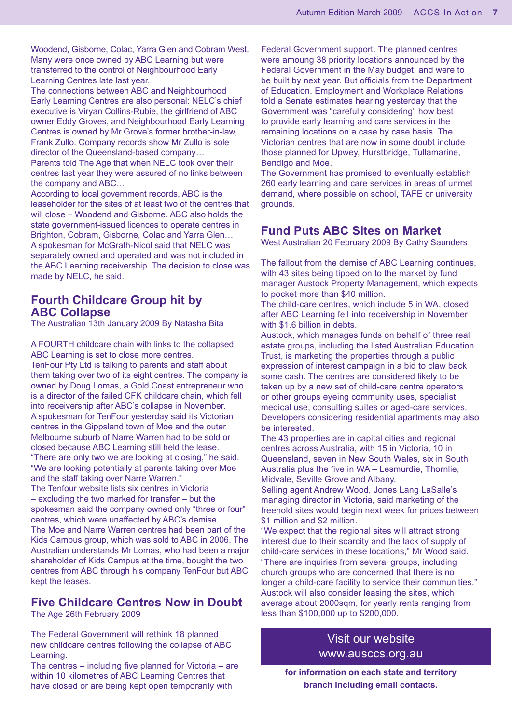Woodend, Gisborne, Colac, Yarra Glen and Cobram West. Many were once owned by ABC Learning but were transferred to the control of Neighbourhood Early Learning Centres late last year.

The connections between ABC and Neighbourhood Early Learning Centres are also personal: NELC's chief executive is Viryan Collins-Rubie, the girlfriend of ABC owner Eddy Groves, and Neighbourhood Early Learning Centres is owned by Mr Grove's former brother-in-law, Frank Zullo. Company records show Mr Zullo is sole director of the Queensland-based company… Parents told The Age that when NELC took over their centres last year they were assured of no links between the company and ABC…

According to local government records, ABC is the leaseholder for the sites of at least two of the centres that will close – Woodend and Gisborne. ABC also holds the state government-issued licences to operate centres in Brighton, Cobram, Gisborne, Colac and Yarra Glen… A spokesman for McGrath-Nicol said that NELC was separately owned and operated and was not included in the ABC Learning receivership. The decision to close was made by NELC, he said.

#### **Fourth Childcare Group hit by ABC Collapse**

The Australian 13th January 2009 By Natasha Bita

A FOURTH childcare chain with links to the collapsed ABC Learning is set to close more centres. TenFour Pty Ltd is talking to parents and staff about them taking over two of its eight centres. The company is owned by Doug Lomas, a Gold Coast entrepreneur who is a director of the failed CFK childcare chain, which fell into receivership after ABC's collapse in November. A spokesman for TenFour yesterday said its Victorian centres in the Gippsland town of Moe and the outer Melbourne suburb of Narre Warren had to be sold or closed because ABC Learning still held the lease. "There are only two we are looking at closing," he said. "We are looking potentially at parents taking over Moe and the staff taking over Narre Warren." The Tenfour website lists six centres in Victoria – excluding the two marked for transfer – but the spokesman said the company owned only "three or four" centres, which were unaffected by ABC's demise. The Moe and Narre Warren centres had been part of the Kids Campus group, which was sold to ABC in 2006. The Australian understands Mr Lomas, who had been a major

shareholder of Kids Campus at the time, bought the two centres from ABC through his company TenFour but ABC kept the leases.

# **Five Childcare Centres Now in Doubt**

The Age 26th February 2009

The Federal Government will rethink 18 planned new childcare centres following the collapse of ABC Learning.

The centres – including five planned for Victoria – are within 10 kilometres of ABC Learning Centres that have closed or are being kept open temporarily with

Federal Government support. The planned centres were amoung 38 priority locations announced by the Federal Government in the May budget, and were to be built by next year. But officials from the Department of Education, Employment and Workplace Relations told a Senate estimates hearing yesterday that the Government was "carefully considering" how best to provide early learning and care services in the remaining locations on a case by case basis. The Victorian centres that are now in some doubt include those planned for Upwey, Hurstbridge, Tullamarine, Bendigo and Moe.

The Government has promised to eventually establish 260 early learning and care services in areas of unmet demand, where possible on school, TAFE or university grounds.

#### **Fund Puts ABC Sites on Market**

West Australian 20 February 2009 By Cathy Saunders

The fallout from the demise of ABC Learning continues, with 43 sites being tipped on to the market by fund manager Austock Property Management, which expects to pocket more than \$40 million.

The child-care centres, which include 5 in WA, closed after ABC Learning fell into receivership in November with \$1.6 billion in debts.

Austock, which manages funds on behalf of three real estate groups, including the listed Australian Education Trust, is marketing the properties through a public expression of interest campaign in a bid to claw back some cash. The centres are considered likely to be taken up by a new set of child-care centre operators or other groups eyeing community uses, specialist medical use, consulting suites or aged-care services. Developers considering residential apartments may also be interested.

The 43 properties are in capital cities and regional centres across Australia, with 15 in Victoria, 10 in Queensland, seven in New South Wales, six in South Australia plus the five in WA – Lesmurdie, Thornlie, Midvale, Seville Grove and Albany.

Selling agent Andrew Wood, Jones Lang LaSalle's managing director in Victoria, said marketing of the freehold sites would begin next week for prices between \$1 million and \$2 million.

"We expect that the regional sites will attract strong interest due to their scarcity and the lack of supply of child-care services in these locations," Mr Wood said. "There are inquiries from several groups, including church groups who are concerned that there is no longer a child-care facility to service their communities." Austock will also consider leasing the sites, which average about 2000sqm, for yearly rents ranging from less than \$100,000 up to \$200,000.

#### Visit our website www.ausccs.org.au

**for information on each state and territory branch including email contacts.**